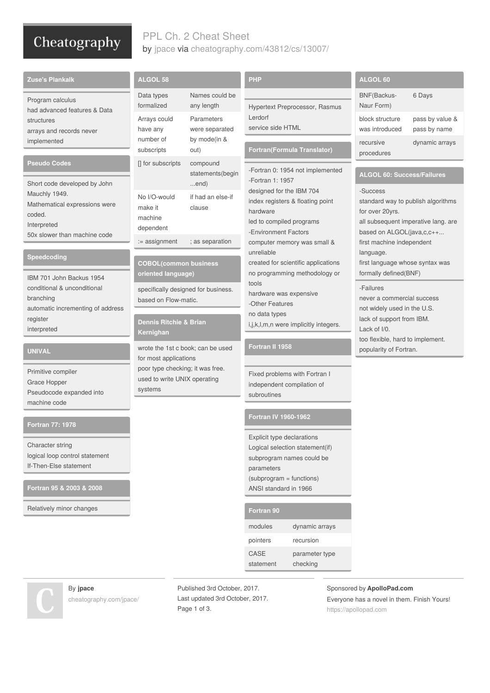### Cheatography

### PPL Ch. 2 Cheat Sheet by [jpace](http://www.cheatography.com/jpace/) via [cheatography.com/43812/cs/13007/](http://www.cheatography.com/jpace/cheat-sheets/ppl-ch-2)

| <b>Zuse's Plankalk</b>                                                                                    | <b>ALGOL 58</b>                                                                                                                                       |                                                                                      | <b>PHP</b>                                                                                                                                                              | ALGOL 60                                                                                                                                                                                                   |                                           |
|-----------------------------------------------------------------------------------------------------------|-------------------------------------------------------------------------------------------------------------------------------------------------------|--------------------------------------------------------------------------------------|-------------------------------------------------------------------------------------------------------------------------------------------------------------------------|------------------------------------------------------------------------------------------------------------------------------------------------------------------------------------------------------------|-------------------------------------------|
| Program calculus<br>had advanced features & Data<br>structures<br>arrays and records never<br>implemented | Data types<br>formalized<br>Arrays could<br>have any                                                                                                  | Names could be<br>any length<br>Parameters<br>were separated<br>by mode(in &<br>out) | Hypertext Preprocessor, Rasmus<br>Lerdorf<br>service side HTML                                                                                                          | BNF(Backus-<br>Naur Form)<br>block structure<br>was introduced                                                                                                                                             | 6 Days<br>pass by value &<br>pass by name |
|                                                                                                           | number of<br>subscripts                                                                                                                               |                                                                                      | Fortran(Formula Translator)                                                                                                                                             | recursive<br>procedures                                                                                                                                                                                    | dynamic arrays                            |
| Pseudo Codes<br>Short code developed by John                                                              | [] for subscripts                                                                                                                                     | compound<br>statements(begin<br>end)                                                 | -Fortran 0: 1954 not implemented<br>-Fortran 1: 1957                                                                                                                    | <b>ALGOL 60: Success/Failures</b><br>-Success<br>standard way to publish algorithms<br>for over 20yrs.<br>all subsequent imperative lang. are<br>based on ALGOL(java,c,c++                                 |                                           |
| Mauchly 1949.<br>Mathematical expressions were<br>coded.<br>Interpreted<br>50x slower than machine code   | No I/O-would<br>make it<br>machine<br>dependent                                                                                                       | if had an else-if<br>clause                                                          | designed for the IBM 704<br>index registers & floating point<br>hardware<br>led to compiled programs<br>-Environment Factors                                            |                                                                                                                                                                                                            |                                           |
| Speedcoding                                                                                               | := assignment<br>; as separation<br><b>COBOL(common business</b><br>oriented language)<br>specifically designed for business.<br>based on Flow-matic. |                                                                                      | computer memory was small &<br>unreliable<br>created for scientific applications<br>no programming methodology or<br>tools<br>hardware was expensive<br>-Other Features | first machine independent<br>language.<br>first language whose syntax was                                                                                                                                  |                                           |
| IBM 701 John Backus 1954<br>conditional & unconditional<br>branching<br>automatic incrementing of address |                                                                                                                                                       |                                                                                      |                                                                                                                                                                         | formally defined(BNF)<br>-Failures<br>never a commercial success<br>not widely used in the U.S.<br>lack of support from IBM.<br>Lack of I/0.<br>too flexible, hard to implement.<br>popularity of Fortran. |                                           |
| register<br>interpreted                                                                                   | <b>Dennis Ritchie &amp; Brian</b><br>Kernighan                                                                                                        |                                                                                      | no data types<br>i,j,k,l,m,n were implicitly integers.                                                                                                                  |                                                                                                                                                                                                            |                                           |
| <b>UNIVAL</b>                                                                                             | wrote the 1st c book; can be used<br>for most applications<br>poor type checking; it was free.<br>used to write UNIX operating<br>systems             |                                                                                      | Fortran II 1958                                                                                                                                                         |                                                                                                                                                                                                            |                                           |
| Primitive compiler<br>Grace Hopper<br>Pseudocode expanded into<br>machine code                            |                                                                                                                                                       |                                                                                      | Fixed problems with Fortran I<br>independent compilation of<br>subroutines                                                                                              |                                                                                                                                                                                                            |                                           |
| Fortran 77: 1978                                                                                          |                                                                                                                                                       |                                                                                      | Fortran IV 1960-1962                                                                                                                                                    |                                                                                                                                                                                                            |                                           |
| Character string<br>logical loop control statement<br>If-Then-Else statement                              |                                                                                                                                                       |                                                                                      | Explicit type declarations<br>Logical selection statement(if)<br>subprogram names could be<br>parameters<br>(subprogram = functions)                                    |                                                                                                                                                                                                            |                                           |
| Fortran 95 & 2003 & 2008                                                                                  |                                                                                                                                                       |                                                                                      | ANSI standard in 1966                                                                                                                                                   |                                                                                                                                                                                                            |                                           |
| Relatively minor changes                                                                                  |                                                                                                                                                       |                                                                                      | Fortran 90                                                                                                                                                              |                                                                                                                                                                                                            |                                           |

modules dynamic arrays pointers recursion

> parameter type checking

CASE statement

# By **jpace**

[cheatography.com/jpace/](http://www.cheatography.com/jpace/)

Published 3rd October, 2017. Last updated 3rd October, 2017. Page 1 of 3.

Sponsored by **ApolloPad.com** Everyone has a novel in them. Finish Yours! <https://apollopad.com>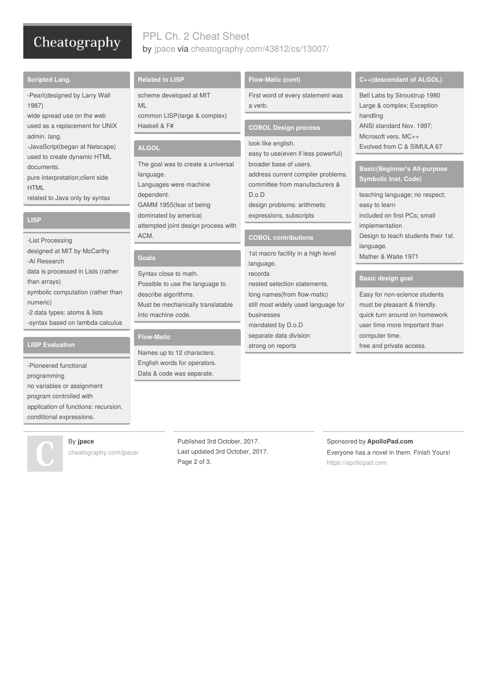## Cheatography

#### PPL Ch. 2 Cheat Sheet by [jpace](http://www.cheatography.com/jpace/) via [cheatography.com/43812/cs/13007/](http://www.cheatography.com/jpace/cheat-sheets/ppl-ch-2)

#### **Scripted Lang.**

-Pearl(designed by Larry Wall 1987)

wide spread use on the web used as a replacement for UNIX admin. lang.

-JavaScript(began at Netscape) used to create dynamic HTML documents.

pure interpretation;client side **HTML** 

related to Java only by syntax

#### **LISP**

-List Processing designed at MIT by McCarthy -AI Research data is processed in Lists (rather than arrays) symbolic computation (rather than numeric) -2 data types: atoms & lists -syntax based on lambda calculus

#### **LISP Evaluation**

-Pioneered functional programming no variables or assignment program controlled with application of functions: recursion, conditional expressions.



#### By **jpace**

[cheatography.com/jpace/](http://www.cheatography.com/jpace/)

**Related to LISP**

scheme developed at MIT

ML common LISP(large & complex) Haskell & F#

#### **ALGOL**

The goal was to create a universal language. Languages were machine dependent. GAMM 1955(fear of being dominated by america) attempted joint design process with ACM.

#### **Goals**

Syntax close to math. Possible to use the language to describe algorithms. Must be mechanically translatable into machine code.

#### **Flow-Matic**

Names up to 12 characters. English words for operators. Data & code was separate.

#### **Flow-Matic (cont)**

First word of every statement was a verb.

#### **COBOL Design process**

look like english. easy to use(even if less powerful) broader base of users. address current compiler problems. committee from manufacturers & D.o.D design problems: arithmetic expressions, subscripts

#### **COBOL contributions**

1st macro facility in a high level language. records nested selection statements. long names(from flow-matic) still most widely used language for businesses mandated by D.o.D separate data division strong on reports

#### **C++(descendant of ALGOL)**

Bell Labs by Stroustrup 1980 Large & complex; Exception handling ANSI standard Nov. 1997; Microsoft vers. MC++ Evolved from C & SIMULA 67

#### **Basic(Beginner's All-purpose Symbolic Inst. Code)**

teaching language; no respect; easy to learn included on first PCs; small implementation Design to teach students their 1st. language. Mather & Waite 1971

#### **Basic design goal**

Easy for non-science students must be pleasant & friendly. quick turn around on homework user time more important than computer time. free and private access.

Published 3rd October, 2017. Last updated 3rd October, 2017. Page 2 of 3.

Sponsored by **ApolloPad.com** Everyone has a novel in them. Finish Yours! <https://apollopad.com>